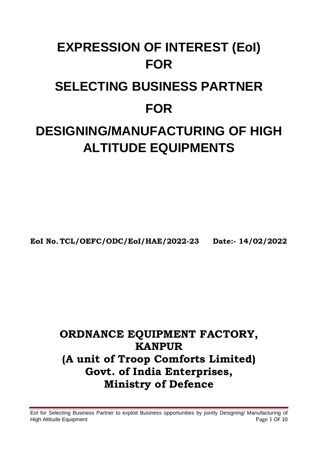# **EXPRESSION OF INTEREST (EoI) FOR SELECTING BUSINESS PARTNER FOR DESIGNING/MANUFACTURING OF HIGH ALTITUDE EQUIPMENTS**

**EoI No. TCL/OEFC/ODC/EoI/HAE/2022-23 Date:- 14/02/2022**

## **ORDNANCE EQUIPMENT FACTORY, KANPUR (A unit of Troop Comforts Limited) Govt. of India Enterprises, Ministry of Defence**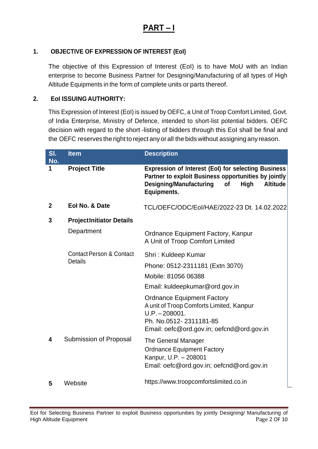## **PART – I**

#### **1. OBJECTIVE OF EXPRESSION OF INTEREST (EoI)**

The objective of this Expression of Interest (EoI) is to have MoU with an Indian enterprise to become Business Partner for Designing/Manufacturing of all types of High Altitude Equipments in the form of complete units or parts thereof.

#### **2. EoI ISSUING AUTHORITY:**

This Expression of Interest (EoI) is issued by OEFC, a Unit of Troop Comfort Limited, Govt. of India Enterprise, Ministry of Defence, intended to short-list potential bidders. OEFC decision with regard to the short -listing of bidders through this EoI shall be final and the OEFC reserves the right to reject any or all the bids without assigning any reason.

| SI.<br>No.   | <b>Item</b>                                           | <b>Description</b>                                                                                                                                                                                          |
|--------------|-------------------------------------------------------|-------------------------------------------------------------------------------------------------------------------------------------------------------------------------------------------------------------|
| 1            | <b>Project Title</b>                                  | <b>Expression of Interest (EoI) for selecting Business</b><br>Partner to exploit Business opportunities by jointly<br><b>Designing/Manufacturing</b><br><b>Altitude</b><br>High<br><b>of</b><br>Equipments. |
| $\mathbf{2}$ | Eol No. & Date                                        | TCL/OEFC/ODC/Eol/HAE/2022-23 Dt. 14.02.2022                                                                                                                                                                 |
| 3            | <b>ProjectInitiator Details</b>                       |                                                                                                                                                                                                             |
|              | Department                                            | <b>Ordnance Equipment Factory, Kanpur</b><br>A Unit of Troop Comfort Limited                                                                                                                                |
|              | <b>Contact Person &amp; Contact</b><br><b>Details</b> | Shri: Kuldeep Kumar                                                                                                                                                                                         |
|              |                                                       | Phone: 0512-2311181 (Extn 3070)                                                                                                                                                                             |
|              |                                                       | Mobile: 81056 06388                                                                                                                                                                                         |
|              |                                                       | Email: kuldeepkumar@ord.gov.in                                                                                                                                                                              |
|              |                                                       | <b>Ordnance Equipment Factory</b><br>A unit of Troop Comforts Limited, Kanpur<br>$U.P. - 208001.$<br>Ph. No.0512-2311181-85<br>Email: oefc@ord.gov.in; oefcnd@ord.gov.in                                    |
| 4            | Submission of Proposal                                | The General Manager<br><b>Ordnance Equipment Factory</b><br>Kanpur, U.P. - 208001<br>Email: oefc@ord.gov.in; oefcnd@ord.gov.in                                                                              |
| 5            | Website                                               | https://www.troopcomfortslimited.co.in                                                                                                                                                                      |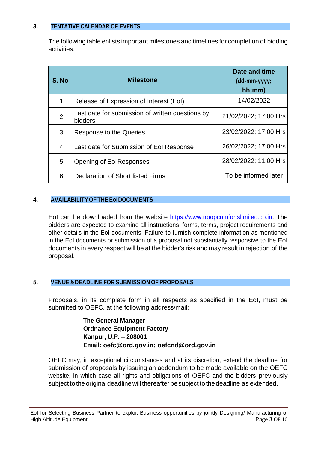#### **3. TENTATIVE CALENDAR OF EVENTS**

The following table enlists important milestones and timelines for completion of bidding activities:

| S. No | <b>Milestone</b>                                            | Date and time<br>(dd-mm-yyyy;<br>hh:mm) |
|-------|-------------------------------------------------------------|-----------------------------------------|
| 1.    | Release of Expression of Interest (EoI)                     | 14/02/2022                              |
| 2.    | Last date for submission of written questions by<br>bidders | 21/02/2022; 17:00 Hrs                   |
| 3.    | Response to the Queries                                     | 23/02/2022; 17:00 Hrs                   |
| 4.    | Last date for Submission of Eol Response                    | 26/02/2022; 17:00 Hrs                   |
| 5.    | <b>Opening of EolResponses</b>                              | 28/02/2022; 11:00 Hrs                   |
| 6.    | Declaration of Short listed Firms                           | To be informed later                    |

#### **4. AVAILABILITY OF THE EoIDOCUMENTS**

EoI can be downloaded from the website https://www.troopcomfortslimited.co.in. The bidders are expected to examine all instructions, forms, terms, project requirements and other details in the EoI documents. Failure to furnish complete information as mentioned in the EoI documents or submission of a proposal not substantially responsive to the EoI documents in every respect will be at the bidder's risk and may result in rejection of the proposal.

#### **5. VENUE &DEADLINE FOR SUBMISSION OF PROPOSALS**

Proposals, in its complete form in all respects as specified in the EoI, must be submitted to OEFC, at the following address/mail:

> **The General Manager Ordnance Equipment Factory Kanpur, U.P. – 208001 Email: oefc@ord.gov.in; oefcnd@ord.gov.in**

OEFC may, in exceptional circumstances and at its discretion, extend the deadline for submission of proposals by issuing an addendum to be made available on the OEFC website, in which case all rights and obligations of OEFC and the bidders previously subject to the original deadline will thereafter be subject to the deadline as extended.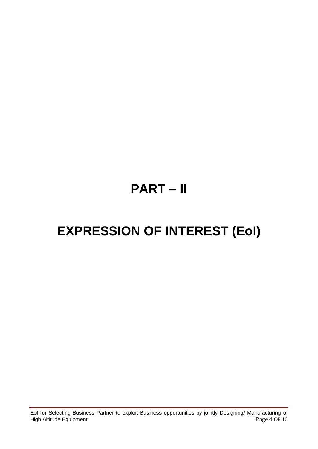## **PART – II**

## **EXPRESSION OF INTEREST (EoI)**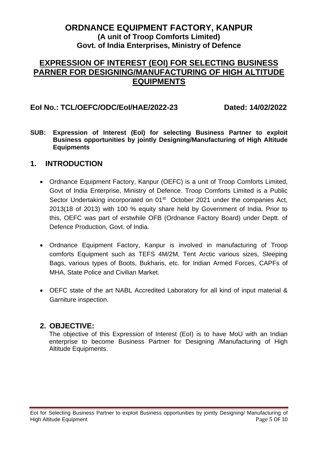#### **ORDNANCE EQUIPMENT FACTORY, KANPUR (A unit of Troop Comforts Limited) Govt. of India Enterprises, Ministry of Defence**

#### **EXPRESSION OF INTEREST (EOI) FOR SELECTING BUSINESS PARNER FOR DESIGNING/MANUFACTURING OF HIGH ALTITUDE EQUIPMENTS**

#### **EoI No.: TCL/OEFC/ODC/EoI/HAE/2022-23 Dated: 14/02/2022**

**SUB: Expression of Interest (EoI) for selecting Business Partner to exploit Business opportunities by jointly Designing/Manufacturing of High Altitude Equipments**

#### **1. INTRODUCTION**

- Ordnance Equipment Factory, Kanpur (OEFC) is a unit of Troop Comforts Limited, Govt of India Enterprise, Ministry of Defence. Troop Comforts Limited is a Public Sector Undertaking incorporated on 01<sup>st</sup> October 2021 under the companies Act, 2013(18 of 2013) with 100 % equity share held by Government of India. Prior to this, OEFC was part of erstwhile OFB (Ordnance Factory Board) under Deptt. of Defence Production, Govt. of India.
- Ordnance Equipment Factory, Kanpur is involved in manufacturing of Troop comforts Equipment such as TEFS 4M/2M, Tent Arctic various sizes, Sleeping Bags, various types of Boots, Bukharis, etc. for Indian Armed Forces, CAPFs of MHA, State Police and Civilian Market.
- OEFC state of the art NABL Accredited Laboratory for all kind of input material & Garniture inspection.

#### **2. OBJECTIVE:**

The objective of this Expression of Interest (EoI) is to have MoU with an Indian enterprise to become Business Partner for Designing /Manufacturing of High Altitude Equipments.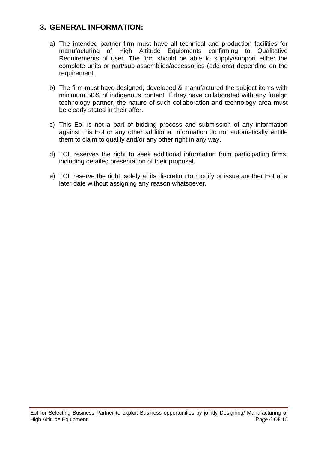#### **3. GENERAL INFORMATION:**

- a) The intended partner firm must have all technical and production facilities for manufacturing of High Altitude Equipments confirming to Qualitative Requirements of user. The firm should be able to supply/support either the complete units or part/sub-assemblies/accessories (add-ons) depending on the requirement.
- b) The firm must have designed, developed & manufactured the subject items with minimum 50% of indigenous content. If they have collaborated with any foreign technology partner, the nature of such collaboration and technology area must be clearly stated in their offer.
- c) This EoI is not a part of bidding process and submission of any information against this EoI or any other additional information do not automatically entitle them to claim to qualify and/or any other right in any way.
- d) TCL reserves the right to seek additional information from participating firms, including detailed presentation of their proposal.
- e) TCL reserve the right, solely at its discretion to modify or issue another EoI at a later date without assigning any reason whatsoever.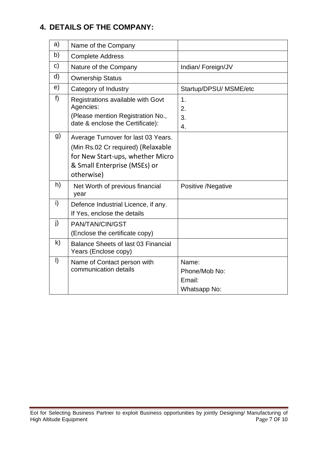### **4. DETAILS OF THE COMPANY:**

| a)           | Name of the Company                                                                                                                                         |                                                  |
|--------------|-------------------------------------------------------------------------------------------------------------------------------------------------------------|--------------------------------------------------|
| b)           | <b>Complete Address</b>                                                                                                                                     |                                                  |
| c)           | Nature of the Company                                                                                                                                       | Indian/Foreign/JV                                |
| d)           | <b>Ownership Status</b>                                                                                                                                     |                                                  |
| e)           | Category of Industry                                                                                                                                        | Startup/DPSU/ MSME/etc                           |
| f)           | Registrations available with Govt<br>Agencies:<br>(Please mention Registration No.,<br>date & enclose the Certificate):                                     | $\mathbf 1$ .<br>2.<br>3.<br>4.                  |
| g)           | Average Turnover for last 03 Years.<br>(Min Rs.02 Cr required) (Relaxable<br>for New Start-ups, whether Micro<br>& Small Enterprise (MSEs) or<br>otherwise) |                                                  |
| h)           | Net Worth of previous financial<br>year                                                                                                                     | Positive /Negative                               |
| i)           | Defence Industrial Licence, if any.<br>If Yes, enclose the details                                                                                          |                                                  |
| j)           | PAN/TAN/CIN/GST<br>(Enclose the certificate copy)                                                                                                           |                                                  |
| $\mathsf{k}$ | Balance Sheets of last 03 Financial<br>Years (Enclose copy)                                                                                                 |                                                  |
| $\vert$ )    | Name of Contact person with<br>communication details                                                                                                        | Name:<br>Phone/Mob No:<br>Email:<br>Whatsapp No: |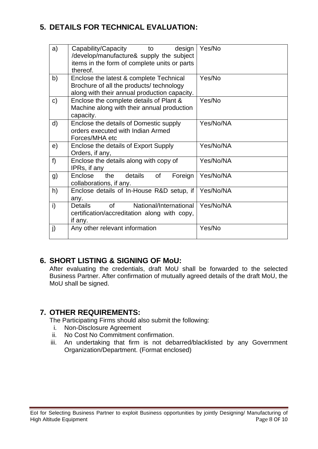### **5. DETAILS FOR TECHNICAL EVALUATION:**

| a) | Capability/Capacity<br>design<br>to<br>/develop/manufacture& supply the subject<br>items in the form of complete units or parts<br>thereof. | Yes/No    |
|----|---------------------------------------------------------------------------------------------------------------------------------------------|-----------|
| b) | Enclose the latest & complete Technical<br>Brochure of all the products/ technology<br>along with their annual production capacity.         | Yes/No    |
| c) | Enclose the complete details of Plant &<br>Machine along with their annual production<br>capacity.                                          | Yes/No    |
| d) | Enclose the details of Domestic supply<br>orders executed with Indian Armed<br>Forces/MHA etc                                               | Yes/No/NA |
| e) | Enclose the details of Export Supply<br>Orders, if any,                                                                                     | Yes/No/NA |
| f) | Enclose the details along with copy of<br>IPRs, if any                                                                                      | Yes/No/NA |
| g) | details<br>Enclose<br>the<br>Foreign<br><b>of</b><br>collaborations, if any.                                                                | Yes/No/NA |
| h) | Enclose details of In-House R&D setup, if<br>any.                                                                                           | Yes/No/NA |
| i) | of<br>National/International<br><b>Details</b><br>certification/accreditation along with copy,<br>if any.                                   | Yes/No/NA |
| j) | Any other relevant information                                                                                                              | Yes/No    |

#### **6. SHORT LISTING & SIGNING OF MoU:**

After evaluating the credentials, draft MoU shall be forwarded to the selected Business Partner. After confirmation of mutually agreed details of the draft MoU, the MoU shall be signed.

#### **7. OTHER REQUIREMENTS:**

The Participating Firms should also submit the following:

- i. Non-Disclosure Agreement
- ii. No Cost No Commitment confirmation.
- iii. An undertaking that firm is not debarred/blacklisted by any Government Organization/Department. (Format enclosed)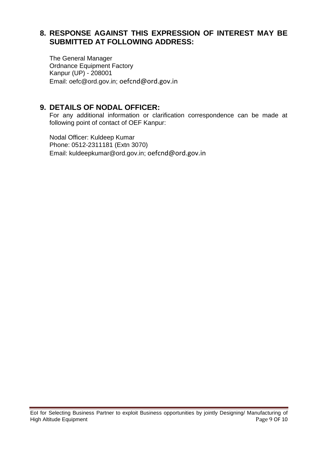#### **8. RESPONSE AGAINST THIS EXPRESSION OF INTEREST MAY BE SUBMITTED AT FOLLOWING ADDRESS:**

The General Manager Ordnance Equipment Factory Kanpur (UP) - 208001 Email: oefc@ord.gov.in; oefcnd@ord.gov.in

#### **9. DETAILS OF NODAL OFFICER:**

For any additional information or clarification correspondence can be made at following point of contact of OEF Kanpur:

Nodal Officer: Kuldeep Kumar Phone: 0512-2311181 (Extn 3070) Email: kuldeepkumar@ord.gov.in; oefcnd@ord.gov.in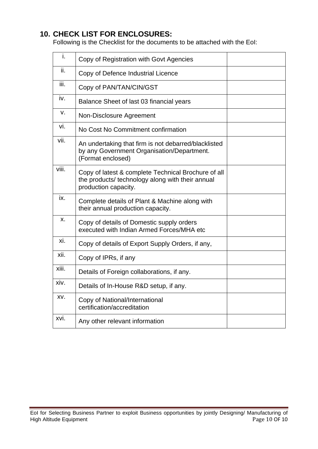#### **10. CHECK LIST FOR ENCLOSURES:**

Following is the Checklist for the documents to be attached with the EoI:

| i.    | Copy of Registration with Govt Agencies                                                                                         |  |
|-------|---------------------------------------------------------------------------------------------------------------------------------|--|
| ii.   | Copy of Defence Industrial Licence                                                                                              |  |
| iii.  | Copy of PAN/TAN/CIN/GST                                                                                                         |  |
| iv.   | Balance Sheet of last 03 financial years                                                                                        |  |
| ν.    | Non-Disclosure Agreement                                                                                                        |  |
| vi.   | No Cost No Commitment confirmation                                                                                              |  |
| vii.  | An undertaking that firm is not debarred/blacklisted<br>by any Government Organisation/Department.<br>(Format enclosed)         |  |
| viii. | Copy of latest & complete Technical Brochure of all<br>the products/ technology along with their annual<br>production capacity. |  |
| ix.   | Complete details of Plant & Machine along with<br>their annual production capacity.                                             |  |
| X.    | Copy of details of Domestic supply orders<br>executed with Indian Armed Forces/MHA etc                                          |  |
| xi.   | Copy of details of Export Supply Orders, if any,                                                                                |  |
| xii.  | Copy of IPRs, if any                                                                                                            |  |
| xiii. | Details of Foreign collaborations, if any.                                                                                      |  |
| xiv.  | Details of In-House R&D setup, if any.                                                                                          |  |
| XV.   | Copy of National/International<br>certification/accreditation                                                                   |  |
| XVİ.  | Any other relevant information                                                                                                  |  |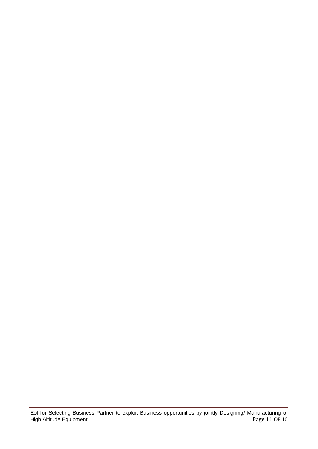EoI for Selecting Business Partner to exploit Business opportunities by jointly Designing/ Manufacturing of High Altitude Equipment **Page 11 OF 10** and the Page 11 OF 10